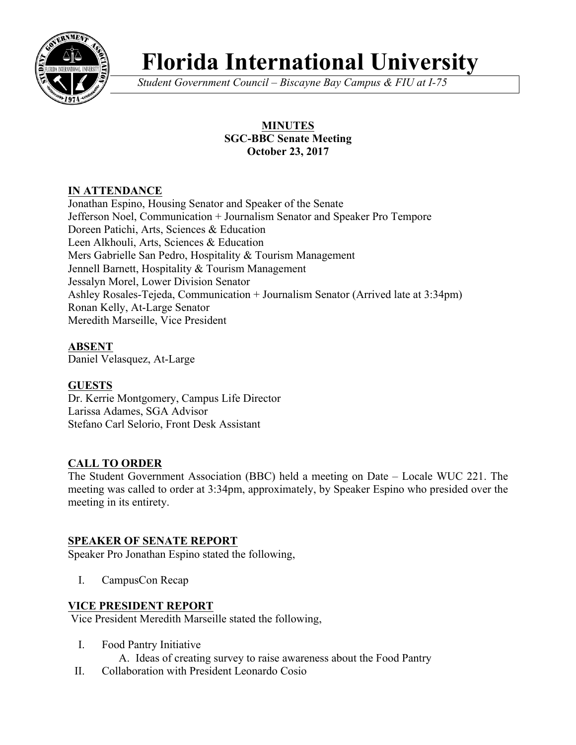

# **Florida International University**

*Student Government Council – Biscayne Bay Campus & FIU at I-75*

# **MINUTES SGC-BBC Senate Meeting October 23, 2017**

# **IN ATTENDANCE**

Jonathan Espino, Housing Senator and Speaker of the Senate Jefferson Noel, Communication + Journalism Senator and Speaker Pro Tempore Doreen Patichi, Arts, Sciences & Education Leen Alkhouli, Arts, Sciences & Education Mers Gabrielle San Pedro, Hospitality & Tourism Management Jennell Barnett, Hospitality & Tourism Management Jessalyn Morel, Lower Division Senator Ashley Rosales-Tejeda, Communication + Journalism Senator (Arrived late at 3:34pm) Ronan Kelly, At-Large Senator Meredith Marseille, Vice President

# **ABSENT**

Daniel Velasquez, At-Large

# **GUESTS**

Dr. Kerrie Montgomery, Campus Life Director Larissa Adames, SGA Advisor Stefano Carl Selorio, Front Desk Assistant

# **CALL TO ORDER**

The Student Government Association (BBC) held a meeting on Date – Locale WUC 221. The meeting was called to order at 3:34pm, approximately, by Speaker Espino who presided over the meeting in its entirety.

# **SPEAKER OF SENATE REPORT**

Speaker Pro Jonathan Espino stated the following,

I. CampusCon Recap

# **VICE PRESIDENT REPORT**

Vice President Meredith Marseille stated the following,

- I. Food Pantry Initiative
	- A. Ideas of creating survey to raise awareness about the Food Pantry
- II. Collaboration with President Leonardo Cosio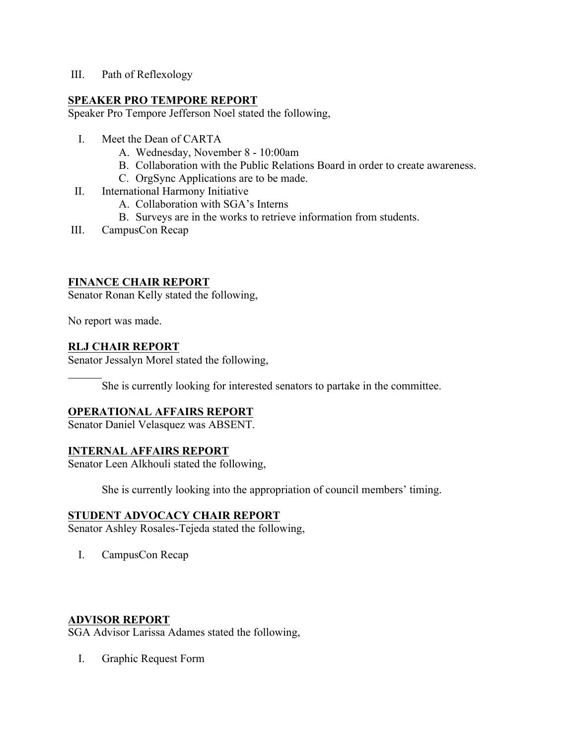III. Path of Reflexology

#### **SPEAKER PRO TEMPORE REPORT**

Speaker Pro Tempore Jefferson Noel stated the following,

- I. Meet the Dean of CARTA
	- A. Wednesday, November 8 10:00am
	- B. Collaboration with the Public Relations Board in order to create awareness.
	- C. OrgSync Applications are to be made.
- II. International Harmony Initiative
	- A. Collaboration with SGA's Interns
	- B. Surveys are in the works to retrieve information from students.
- III. CampusCon Recap

#### **FINANCE CHAIR REPORT**

Senator Ronan Kelly stated the following,

No report was made.

#### **RLJ CHAIR REPORT**

Senator Jessalyn Morel stated the following,

She is currently looking for interested senators to partake in the committee.

#### **OPERATIONAL AFFAIRS REPORT**

Senator Daniel Velasquez was ABSENT.

#### **INTERNAL AFFAIRS REPORT**

Senator Leen Alkhouli stated the following,

She is currently looking into the appropriation of council members' timing.

#### **STUDENT ADVOCACY CHAIR REPORT**

Senator Ashley Rosales-Tejeda stated the following,

I. CampusCon Recap

#### **ADVISOR REPORT**

SGA Advisor Larissa Adames stated the following,

I. Graphic Request Form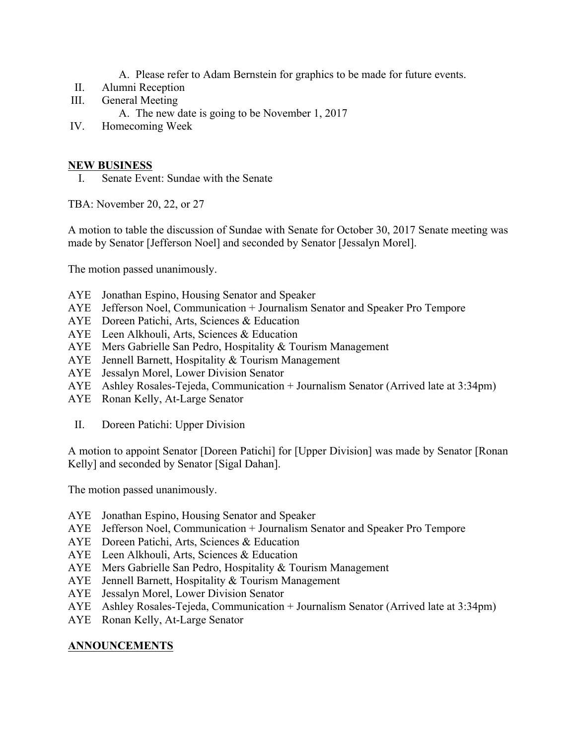- A. Please refer to Adam Bernstein for graphics to be made for future events.
- II. Alumni Reception
- III. General Meeting
	- A. The new date is going to be November 1, 2017
- IV. Homecoming Week

#### **NEW BUSINESS**

I. Senate Event: Sundae with the Senate

TBA: November 20, 22, or 27

A motion to table the discussion of Sundae with Senate for October 30, 2017 Senate meeting was made by Senator [Jefferson Noel] and seconded by Senator [Jessalyn Morel].

The motion passed unanimously.

- AYE Jonathan Espino, Housing Senator and Speaker
- AYE Jefferson Noel, Communication + Journalism Senator and Speaker Pro Tempore
- AYE Doreen Patichi, Arts, Sciences & Education
- AYE Leen Alkhouli, Arts, Sciences & Education
- AYE Mers Gabrielle San Pedro, Hospitality & Tourism Management
- AYE Jennell Barnett, Hospitality & Tourism Management
- AYE Jessalyn Morel, Lower Division Senator
- AYE Ashley Rosales-Tejeda, Communication + Journalism Senator (Arrived late at 3:34pm)
- AYE Ronan Kelly, At-Large Senator
- II. Doreen Patichi: Upper Division

A motion to appoint Senator [Doreen Patichi] for [Upper Division] was made by Senator [Ronan Kelly] and seconded by Senator [Sigal Dahan].

The motion passed unanimously.

- AYE Jonathan Espino, Housing Senator and Speaker
- AYE Jefferson Noel, Communication + Journalism Senator and Speaker Pro Tempore
- AYE Doreen Patichi, Arts, Sciences & Education
- AYE Leen Alkhouli, Arts, Sciences & Education
- AYE Mers Gabrielle San Pedro, Hospitality & Tourism Management
- AYE Jennell Barnett, Hospitality & Tourism Management
- AYE Jessalyn Morel, Lower Division Senator
- AYE Ashley Rosales-Tejeda, Communication + Journalism Senator (Arrived late at 3:34pm)
- AYE Ronan Kelly, At-Large Senator

#### **ANNOUNCEMENTS**